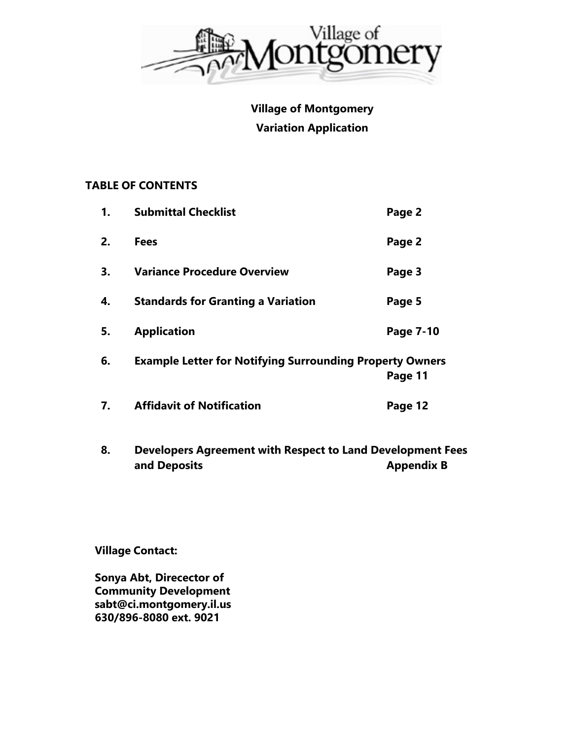

**Village of Montgomery Variation Application** 

## **TABLE OF CONTENTS**

| 1. | <b>Submittal Checklist</b>                                      | Page 2    |
|----|-----------------------------------------------------------------|-----------|
| 2. | <b>Fees</b>                                                     | Page 2    |
| 3. | <b>Variance Procedure Overview</b>                              | Page 3    |
| 4. | <b>Standards for Granting a Variation</b>                       | Page 5    |
| 5. | <b>Application</b>                                              | Page 7-10 |
| 6. | <b>Example Letter for Notifying Surrounding Property Owners</b> | Page 11   |
| 7. | <b>Affidavit of Notification</b>                                | Page 12   |
| Я  | Developers Agreement with Respect to Land Development F         |           |

**8. Developers Agreement with Respect to Land Development Fees and Deposits Appendix B Appendix B** 

**Village Contact:** 

**Sonya Abt, Direcector of Community Development sabt@ci.montgomery.il.us 630/896-8080 ext. 9021**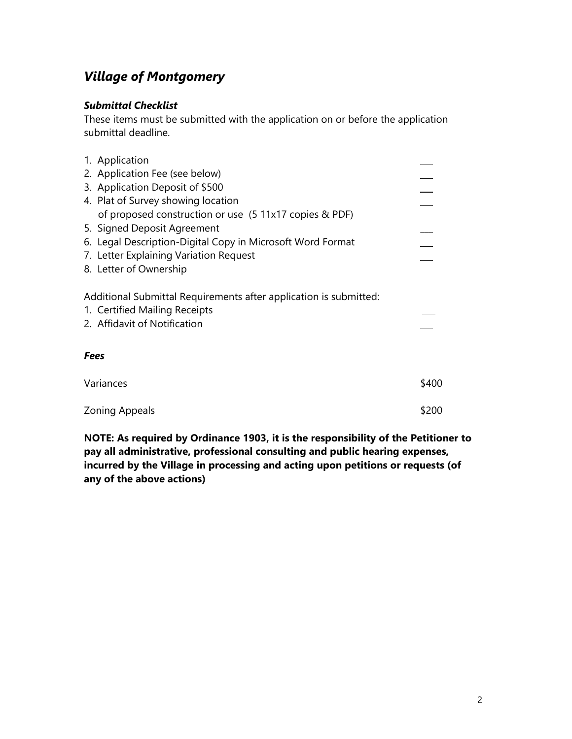# *Village of Montgomery*

### *Submittal Checklist*

These items must be submitted with the application on or before the application submittal deadline.

| 1. Application                                                    |       |
|-------------------------------------------------------------------|-------|
|                                                                   |       |
| 2. Application Fee (see below)                                    |       |
| 3. Application Deposit of \$500                                   |       |
| 4. Plat of Survey showing location                                |       |
| of proposed construction or use (5 11x17 copies & PDF)            |       |
| 5. Signed Deposit Agreement                                       |       |
| 6. Legal Description-Digital Copy in Microsoft Word Format        |       |
| 7. Letter Explaining Variation Request                            |       |
| 8. Letter of Ownership                                            |       |
| Additional Submittal Requirements after application is submitted: |       |
| 1. Certified Mailing Receipts                                     |       |
| 2. Affidavit of Notification                                      |       |
|                                                                   |       |
| <b>Fees</b>                                                       |       |
| Variances                                                         | \$400 |
| <b>Zoning Appeals</b>                                             | \$200 |
|                                                                   |       |

**NOTE: As required by Ordinance 1903, it is the responsibility of the Petitioner to pay all administrative, professional consulting and public hearing expenses, incurred by the Village in processing and acting upon petitions or requests (of any of the above actions)**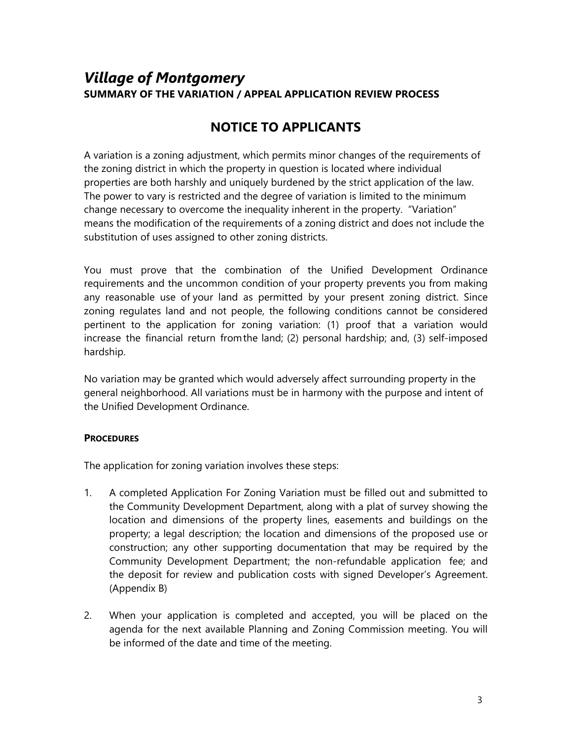# *Village of Montgomery*  **SUMMARY OF THE VARIATION / APPEAL APPLICATION REVIEW PROCESS**

# **NOTICE TO APPLICANTS**

A variation is a zoning adjustment, which permits minor changes of the requirements of the zoning district in which the property in question is located where individual properties are both harshly and uniquely burdened by the strict application of the law. The power to vary is restricted and the degree of variation is limited to the minimum change necessary to overcome the inequality inherent in the property. "Variation" means the modification of the requirements of a zoning district and does not include the substitution of uses assigned to other zoning districts.

You must prove that the combination of the Unified Development Ordinance requirements and the uncommon condition of your property prevents you from making any reasonable use of your land as permitted by your present zoning district. Since zoning regulates land and not people, the following conditions cannot be considered pertinent to the application for zoning variation: (1) proof that a variation would increase the financial return from the land; (2) personal hardship; and, (3) self-imposed hardship.

No variation may be granted which would adversely affect surrounding property in the general neighborhood. All variations must be in harmony with the purpose and intent of the Unified Development Ordinance.

### **PROCEDURES**

The application for zoning variation involves these steps:

- 1. A completed Application For Zoning Variation must be filled out and submitted to the Community Development Department, along with a plat of survey showing the location and dimensions of the property lines, easements and buildings on the property; a legal description; the location and dimensions of the proposed use or construction; any other supporting documentation that may be required by the Community Development Department; the non-refundable application fee; and the deposit for review and publication costs with signed Developer's Agreement. (Appendix B)
- 2. When your application is completed and accepted, you will be placed on the agenda for the next available Planning and Zoning Commission meeting. You will be informed of the date and time of the meeting.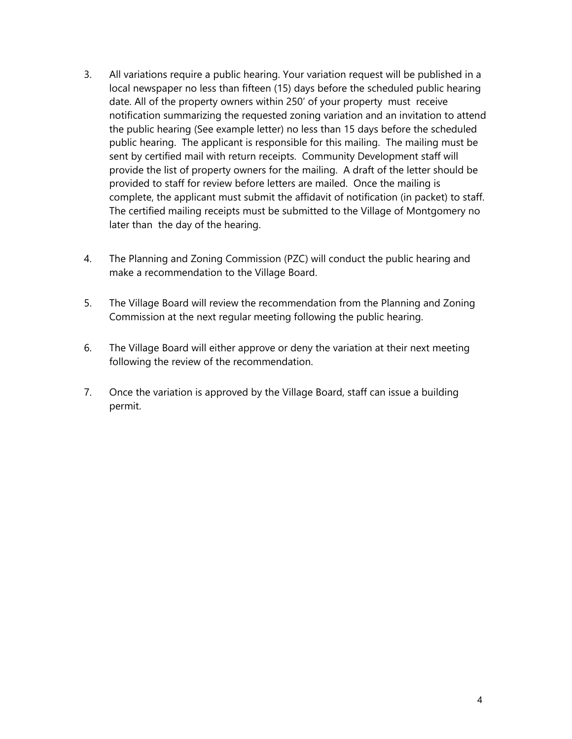- 3. All variations require a public hearing. Your variation request will be published in a local newspaper no less than fifteen (15) days before the scheduled public hearing date. All of the property owners within 250' of your property must receive notification summarizing the requested zoning variation and an invitation to attend the public hearing (See example letter) no less than 15 days before the scheduled public hearing. The applicant is responsible for this mailing. The mailing must be sent by certified mail with return receipts. Community Development staff will provide the list of property owners for the mailing. A draft of the letter should be provided to staff for review before letters are mailed. Once the mailing is complete, the applicant must submit the affidavit of notification (in packet) to staff. The certified mailing receipts must be submitted to the Village of Montgomery no later than the day of the hearing.
- 4. The Planning and Zoning Commission (PZC) will conduct the public hearing and make a recommendation to the Village Board.
- 5. The Village Board will review the recommendation from the Planning and Zoning Commission at the next regular meeting following the public hearing.
- 6. The Village Board will either approve or deny the variation at their next meeting following the review of the recommendation.
- 7. Once the variation is approved by the Village Board, staff can issue a building permit.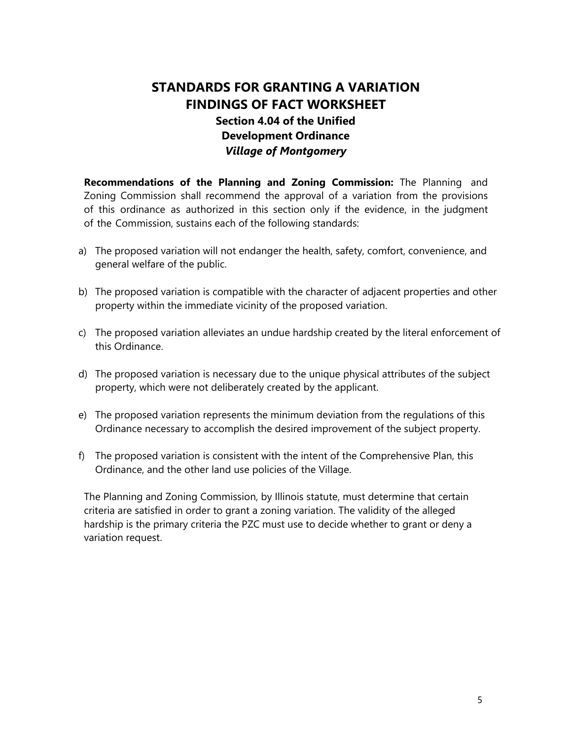# **STANDARDS FOR GRANTING A VARIATION FINDINGS OF FACT WORKSHEET Section 4.04 of the Unified Development Ordinance**  *Village of Montgomery*

**Recommendations of the Planning and Zoning Commission:** The Planning and Zoning Commission shall recommend the approval of a variation from the provisions of this ordinance as authorized in this section only if the evidence, in the judgment of the Commission, sustains each of the following standards:

- a) The proposed variation will not endanger the health, safety, comfort, convenience, and general welfare of the public.
- b) The proposed variation is compatible with the character of adjacent properties and other property within the immediate vicinity of the proposed variation.
- c) The proposed variation alleviates an undue hardship created by the literal enforcement of this Ordinance.
- d) The proposed variation is necessary due to the unique physical attributes of the subject property, which were not deliberately created by the applicant.
- e) The proposed variation represents the minimum deviation from the regulations of this Ordinance necessary to accomplish the desired improvement of the subject property.
- f) The proposed variation is consistent with the intent of the Comprehensive Plan, this Ordinance, and the other land use policies of the Village.

The Planning and Zoning Commission, by Illinois statute, must determine that certain criteria are satisfied in order to grant a zoning variation. The validity of the alleged hardship is the primary criteria the PZC must use to decide whether to grant or deny a variation request.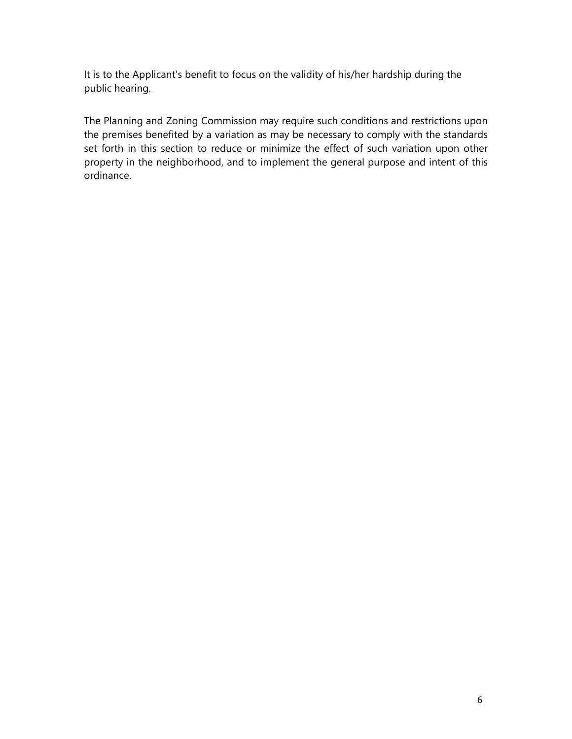It is to the Applicant's benefit to focus on the validity of his/her hardship during the public hearing.

The Planning and Zoning Commission may require such conditions and restrictions upon the premises benefited by a variation as may be necessary to comply with the standards set forth in this section to reduce or minimize the effect of such variation upon other property in the neighborhood, and to implement the general purpose and intent of this ordinance.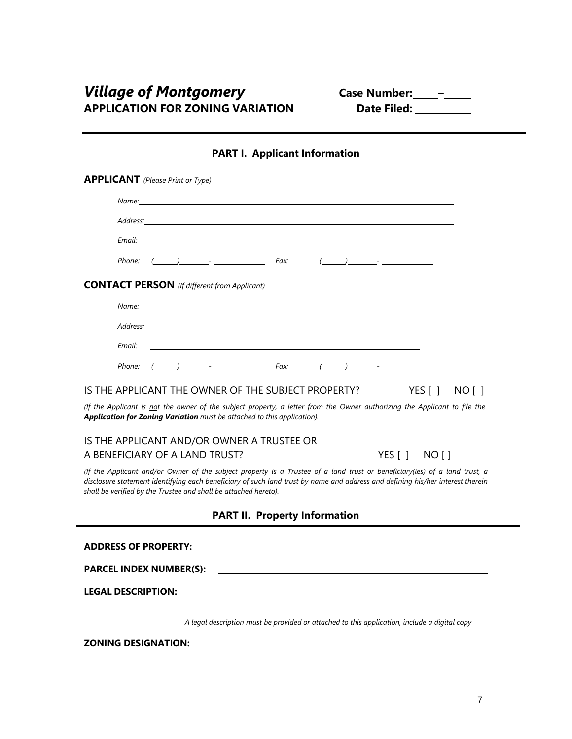| <b>APPLICANT</b> (Please Print or Type)<br>Name: will be a series of the contract of the contract of the contract of the contract of the contract of the contract of the contract of the contract of the contract of the contract of the contract of the contract of the<br>Address: Address: Address: Address: Address: Address: Address: Address: Address: Address: Address: Address: Address: Address: Address: Address: Address: Address: Address: Address: Address: Address: Address: Address: Addres<br>Email:<br>Phone: $(\_\_\_\_\_$ Fax:<br><b>CONTACT PERSON</b> (If different from Applicant) |  |  |  |  |  |  |
|----------------------------------------------------------------------------------------------------------------------------------------------------------------------------------------------------------------------------------------------------------------------------------------------------------------------------------------------------------------------------------------------------------------------------------------------------------------------------------------------------------------------------------------------------------------------------------------------------------|--|--|--|--|--|--|
|                                                                                                                                                                                                                                                                                                                                                                                                                                                                                                                                                                                                          |  |  |  |  |  |  |
|                                                                                                                                                                                                                                                                                                                                                                                                                                                                                                                                                                                                          |  |  |  |  |  |  |
|                                                                                                                                                                                                                                                                                                                                                                                                                                                                                                                                                                                                          |  |  |  |  |  |  |
|                                                                                                                                                                                                                                                                                                                                                                                                                                                                                                                                                                                                          |  |  |  |  |  |  |
|                                                                                                                                                                                                                                                                                                                                                                                                                                                                                                                                                                                                          |  |  |  |  |  |  |
|                                                                                                                                                                                                                                                                                                                                                                                                                                                                                                                                                                                                          |  |  |  |  |  |  |
| Name: Name: Name: Name: Name: Name: Name: Name: Name: Name: Name: Name: Name: Name: Name: Name: Name: Name: Name: Name: Name: Name: Name: Name: Name: Name: Name: Name: Name: Name: Name: Name: Name: Name: Name: Name: Name:                                                                                                                                                                                                                                                                                                                                                                            |  |  |  |  |  |  |
|                                                                                                                                                                                                                                                                                                                                                                                                                                                                                                                                                                                                          |  |  |  |  |  |  |
| Email:                                                                                                                                                                                                                                                                                                                                                                                                                                                                                                                                                                                                   |  |  |  |  |  |  |
|                                                                                                                                                                                                                                                                                                                                                                                                                                                                                                                                                                                                          |  |  |  |  |  |  |
| IS THE APPLICANT THE OWNER OF THE SUBJECT PROPERTY?<br>YES [ ]<br>NO [ ]                                                                                                                                                                                                                                                                                                                                                                                                                                                                                                                                 |  |  |  |  |  |  |
| (If the Applicant is not the owner of the subject property, a letter from the Owner authorizing the Applicant to file the<br>Application for Zoning Variation must be attached to this application).                                                                                                                                                                                                                                                                                                                                                                                                     |  |  |  |  |  |  |
| IS THE APPLICANT AND/OR OWNER A TRUSTEE OR                                                                                                                                                                                                                                                                                                                                                                                                                                                                                                                                                               |  |  |  |  |  |  |
| A BENEFICIARY OF A LAND TRUST?<br>YES [ ] NO [ ]                                                                                                                                                                                                                                                                                                                                                                                                                                                                                                                                                         |  |  |  |  |  |  |
| (If the Applicant and/or Owner of the subject property is a Trustee of a land trust or beneficiary(ies) of a land trust, a<br>disclosure statement identifying each beneficiary of such land trust by name and address and defining his/her interest therein<br>shall be verified by the Trustee and shall be attached hereto).                                                                                                                                                                                                                                                                          |  |  |  |  |  |  |
| <b>PART II. Property Information</b>                                                                                                                                                                                                                                                                                                                                                                                                                                                                                                                                                                     |  |  |  |  |  |  |
| <b>ADDRESS OF PROPERTY:</b>                                                                                                                                                                                                                                                                                                                                                                                                                                                                                                                                                                              |  |  |  |  |  |  |
| <b>PARCEL INDEX NUMBER(S):</b>                                                                                                                                                                                                                                                                                                                                                                                                                                                                                                                                                                           |  |  |  |  |  |  |
| <b>LEGAL DESCRIPTION:</b>                                                                                                                                                                                                                                                                                                                                                                                                                                                                                                                                                                                |  |  |  |  |  |  |
|                                                                                                                                                                                                                                                                                                                                                                                                                                                                                                                                                                                                          |  |  |  |  |  |  |
| A legal description must be provided or attached to this application, include a digital copy                                                                                                                                                                                                                                                                                                                                                                                                                                                                                                             |  |  |  |  |  |  |
| <b>ZONING DESIGNATION:</b>                                                                                                                                                                                                                                                                                                                                                                                                                                                                                                                                                                               |  |  |  |  |  |  |

### **PART I. Applicant Information**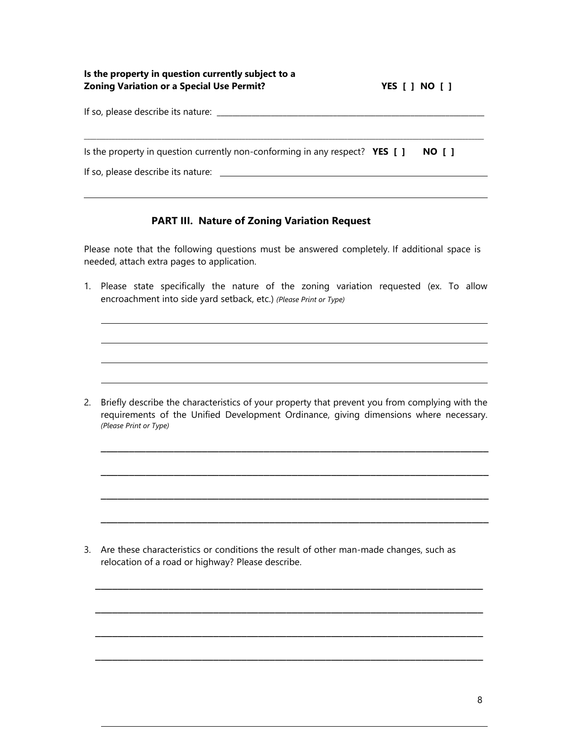| Is the property in question currently subject to a<br><b>Zoning Variation or a Special Use Permit?</b> | <b>YES</b> [ ] NO [ ] |  |
|--------------------------------------------------------------------------------------------------------|-----------------------|--|
|                                                                                                        |                       |  |
| Is the property in question currently non-conforming in any respect? $YES$ [ ]                         | NO I 1                |  |
| If so, please describe its nature: _____                                                               |                       |  |

#### **PART III. Nature of Zoning Variation Request**

Please note that the following questions must be answered completely. If additional space is needed, attach extra pages to application.

1. Please state specifically the nature of the zoning variation requested (ex. To allow encroachment into side yard setback, etc.) *(Please Print or Type)*

2. Briefly describe the characteristics of your property that prevent you from complying with the requirements of the Unified Development Ordinance, giving dimensions where necessary. *(Please Print or Type)*

\_\_\_\_\_\_\_\_\_\_\_\_\_\_\_\_\_\_\_\_\_\_\_\_\_\_\_\_\_\_\_\_\_\_\_\_\_\_\_\_\_\_\_\_\_\_\_\_\_\_\_\_\_\_\_\_\_\_\_\_\_\_\_\_\_\_\_\_\_

\_\_\_\_\_\_\_\_\_\_\_\_\_\_\_\_\_\_\_\_\_\_\_\_\_\_\_\_\_\_\_\_\_\_\_\_\_\_\_\_\_\_\_\_\_\_\_\_\_\_\_\_\_\_\_\_\_\_\_\_\_\_\_\_\_\_\_\_\_

\_\_\_\_\_\_\_\_\_\_\_\_\_\_\_\_\_\_\_\_\_\_\_\_\_\_\_\_\_\_\_\_\_\_\_\_\_\_\_\_\_\_\_\_\_\_\_\_\_\_\_\_\_\_\_\_\_\_\_\_\_\_\_\_\_\_\_\_\_

\_\_\_\_\_\_\_\_\_\_\_\_\_\_\_\_\_\_\_\_\_\_\_\_\_\_\_\_\_\_\_\_\_\_\_\_\_\_\_\_\_\_\_\_\_\_\_\_\_\_\_\_\_\_\_\_\_\_\_\_\_\_\_\_\_\_\_\_\_

\_\_\_\_\_\_\_\_\_\_\_\_\_\_\_\_\_\_\_\_\_\_\_\_\_\_\_\_\_\_\_\_\_\_\_\_\_\_\_\_\_\_\_\_\_\_\_\_\_\_\_\_\_\_\_\_\_\_\_\_\_\_\_\_\_\_\_\_\_

\_\_\_\_\_\_\_\_\_\_\_\_\_\_\_\_\_\_\_\_\_\_\_\_\_\_\_\_\_\_\_\_\_\_\_\_\_\_\_\_\_\_\_\_\_\_\_\_\_\_\_\_\_\_\_\_\_\_\_\_\_\_\_\_\_\_\_\_\_

\_\_\_\_\_\_\_\_\_\_\_\_\_\_\_\_\_\_\_\_\_\_\_\_\_\_\_\_\_\_\_\_\_\_\_\_\_\_\_\_\_\_\_\_\_\_\_\_\_\_\_\_\_\_\_\_\_\_\_\_\_\_\_\_\_\_\_\_\_

\_\_\_\_\_\_\_\_\_\_\_\_\_\_\_\_\_\_\_\_\_\_\_\_\_\_\_\_\_\_\_\_\_\_\_\_\_\_\_\_\_\_\_\_\_\_\_\_\_\_\_\_\_\_\_\_\_\_\_\_\_\_\_\_\_\_\_\_\_

3. Are these characteristics or conditions the result of other man-made changes, such as relocation of a road or highway? Please describe.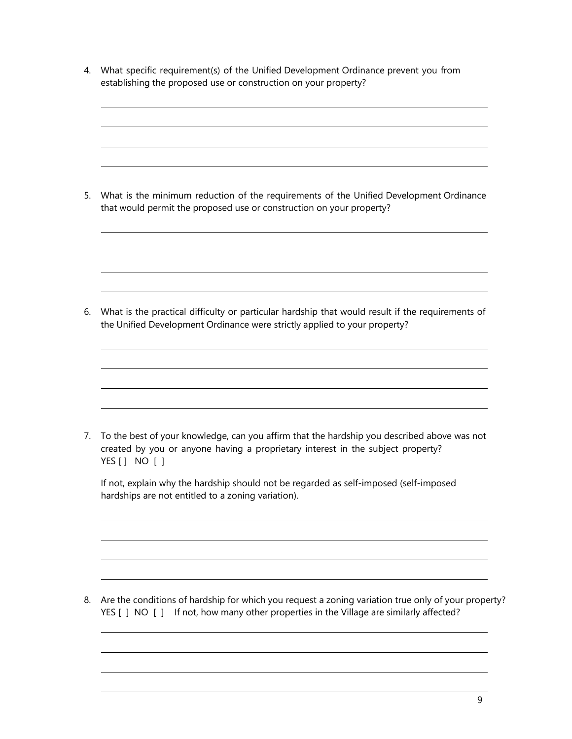4. What specific requirement(s) of the Unified Development Ordinance prevent you from establishing the proposed use or construction on your property?

5. What is the minimum reduction of the requirements of the Unified Development Ordinance that would permit the proposed use or construction on your property?

6. What is the practical difficulty or particular hardship that would result if the requirements of the Unified Development Ordinance were strictly applied to your property?

7. To the best of your knowledge, can you affirm that the hardship you described above was not created by you or anyone having a proprietary interest in the subject property? YES [ ] NO [ ]

| If not, explain why the hardship should not be regarded as self-imposed (self-imposed |  |
|---------------------------------------------------------------------------------------|--|
| hardships are not entitled to a zoning variation).                                    |  |

8. Are the conditions of hardship for which you request a zoning variation true only of your property? YES [ ] NO [ ] If not, how many other properties in the Village are similarly affected?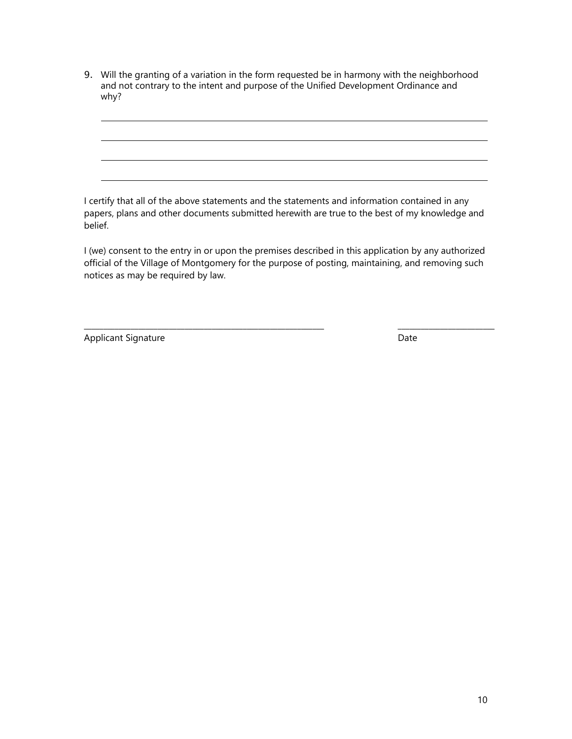9. Will the granting of a variation in the form requested be in harmony with the neighborhood and not contrary to the intent and purpose of the Unified Development Ordinance and why?

I certify that all of the above statements and the statements and information contained in any papers, plans and other documents submitted herewith are true to the best of my knowledge and belief.

I (we) consent to the entry in or upon the premises described in this application by any authorized official of the Village of Montgomery for the purpose of posting, maintaining, and removing such notices as may be required by law.

\_\_\_\_\_\_\_\_\_\_\_\_\_\_\_\_\_\_\_\_\_\_\_\_\_\_\_\_\_\_\_\_\_\_\_\_\_\_\_\_\_\_\_\_\_\_\_\_\_\_\_\_\_\_\_\_\_\_\_\_\_\_ \_\_\_\_\_\_\_\_\_\_\_\_\_\_\_\_\_\_\_\_\_\_\_\_\_

Applicant Signature Date Date Applicant Signature Date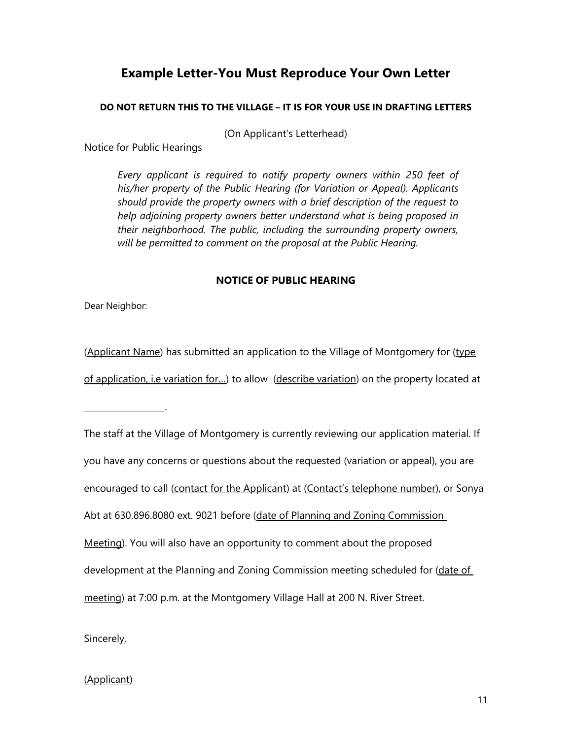# **Example Letter-You Must Reproduce Your Own Letter**

#### **DO NOT RETURN THIS TO THE VILLAGE – IT IS FOR YOUR USE IN DRAFTING LETTERS**

(On Applicant's Letterhead)

Notice for Public Hearings

*Every applicant is required to notify property owners within 250 feet of his/her property of the Public Hearing (for Variation or Appeal). Applicants should provide the property owners with a brief description of the request to help adjoining property owners better understand what is being proposed in their neighborhood. The public, including the surrounding property owners, will be permitted to comment on the proposal at the Public Hearing.* 

#### **NOTICE OF PUBLIC HEARING**

Dear Neighbor:

.

(Applicant Name) has submitted an application to the Village of Montgomery for (type of application, i.e variation for...) to allow (describe variation) on the property located at

The staff at the Village of Montgomery is currently reviewing our application material. If you have any concerns or questions about the requested (variation or appeal), you are encouraged to call (contact for the Applicant) at (Contact's telephone number), or Sonya Abt at 630.896.8080 ext. 9021 before (date of Planning and Zoning Commission Meeting). You will also have an opportunity to comment about the proposed development at the Planning and Zoning Commission meeting scheduled for (date of meeting) at 7:00 p.m. at the Montgomery Village Hall at 200 N. River Street.

Sincerely,

### (Applicant)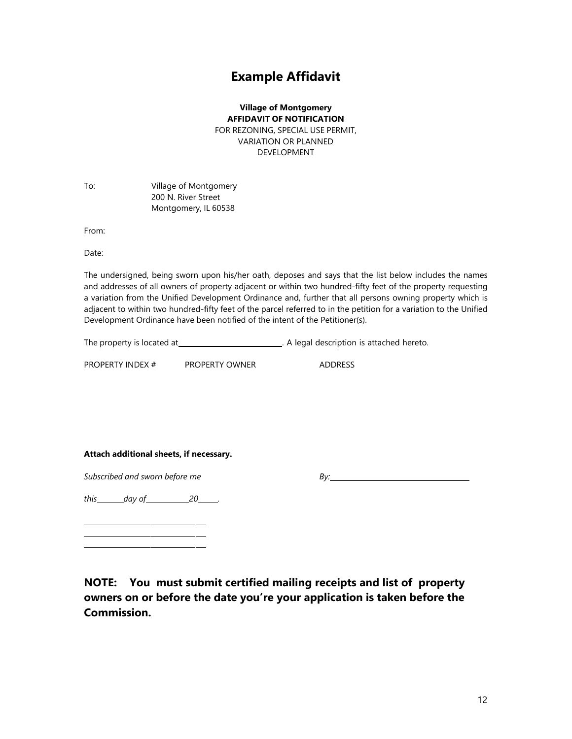## **Example Affidavit**

**Village of Montgomery AFFIDAVIT OF NOTIFICATION**  FOR REZONING, SPECIAL USE PERMIT, VARIATION OR PLANNED DEVELOPMENT

To: Village of Montgomery 200 N. River Street Montgomery, IL 60538

From:

Date:

The undersigned, being sworn upon his/her oath, deposes and says that the list below includes the names and addresses of all owners of property adjacent or within two hundred-fifty feet of the property requesting a variation from the Unified Development Ordinance and, further that all persons owning property which is adjacent to within two hundred-fifty feet of the parcel referred to in the petition for a variation to the Unified Development Ordinance have been notified of the intent of the Petitioner(s).

The property is located at . A legal description is attached hereto.

PROPERTY INDEX # PROPERTY OWNER ADDRESS

**Attach additional sheets, if necessary.** 

*Subscribed and sworn before me* By: **By:** By:

*this day of 20 .* 

**NOTE: You must submit certified mailing receipts and list of property owners on or before the date you're your application is taken before the Commission.**